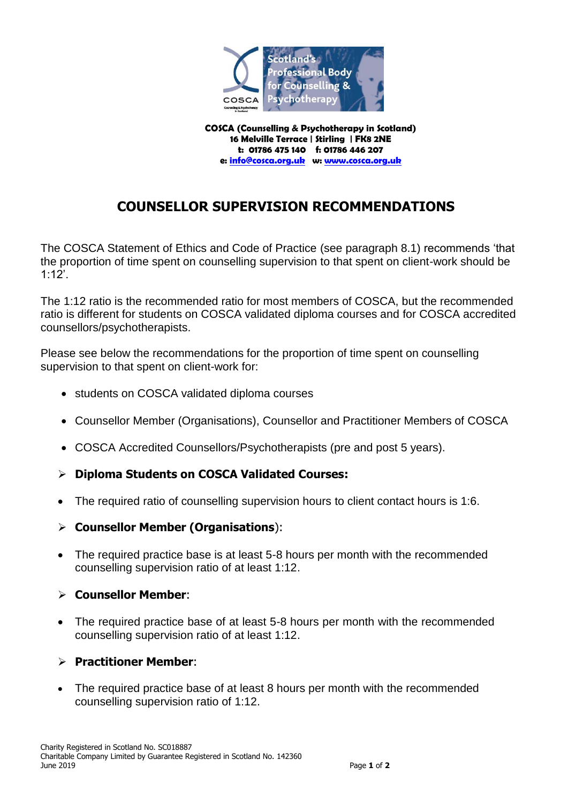

**COSCA (Counselling & Psychotherapy in Scotland) 16 Melville Terrace | Stirling | FK8 2NE t: 01786 475 140 f: 01786 446 207 e[: info@cosca.org.uk](mailto:info@cosca.org.uk) w: [www.cosca.org.uk](http://www.cosca.org.uk/)**

# **COUNSELLOR SUPERVISION RECOMMENDATIONS**

The COSCA Statement of Ethics and Code of Practice (see paragraph 8.1) recommends 'that the proportion of time spent on counselling supervision to that spent on client-work should be 1:12'.

The 1:12 ratio is the recommended ratio for most members of COSCA, but the recommended ratio is different for students on COSCA validated diploma courses and for COSCA accredited counsellors/psychotherapists.

Please see below the recommendations for the proportion of time spent on counselling supervision to that spent on client-work for:

- students on COSCA validated diploma courses
- Counsellor Member (Organisations), Counsellor and Practitioner Members of COSCA
- COSCA Accredited Counsellors/Psychotherapists (pre and post 5 years).
- **Diploma Students on COSCA Validated Courses:**
- The required ratio of counselling supervision hours to client contact hours is 1:6.
- **Counsellor Member (Organisations**):
- The required practice base is at least 5-8 hours per month with the recommended counselling supervision ratio of at least 1:12.

#### **Counsellor Member**:

• The required practice base of at least 5-8 hours per month with the recommended counselling supervision ratio of at least 1:12.

#### **Practitioner Member**:

 The required practice base of at least 8 hours per month with the recommended counselling supervision ratio of 1:12.